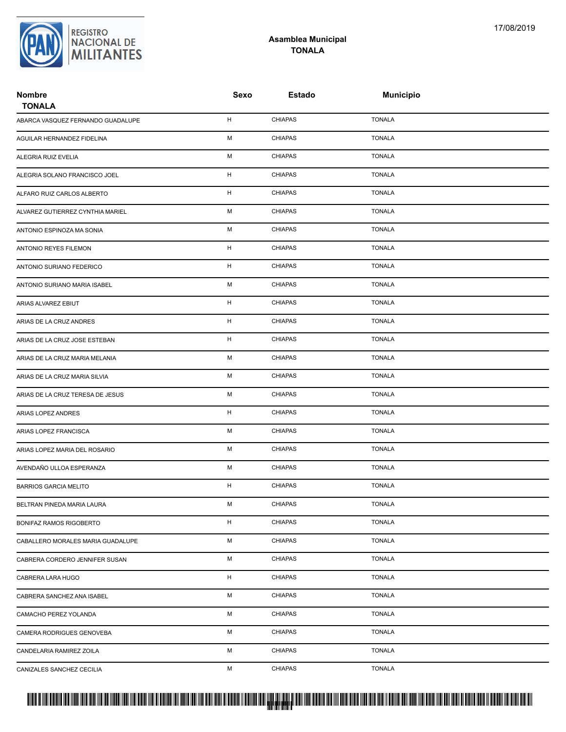

### **Asamblea Municipal TONALA**

| <b>Nombre</b><br><b>TONALA</b>    | Sexo                      | <b>Estado</b>  | <b>Municipio</b> |  |
|-----------------------------------|---------------------------|----------------|------------------|--|
| ABARCA VASQUEZ FERNANDO GUADALUPE | н                         | <b>CHIAPAS</b> | <b>TONALA</b>    |  |
| AGUILAR HERNANDEZ FIDELINA        | М                         | <b>CHIAPAS</b> | <b>TONALA</b>    |  |
| ALEGRIA RUIZ EVELIA               | М                         | <b>CHIAPAS</b> | <b>TONALA</b>    |  |
| ALEGRIA SOLANO FRANCISCO JOEL     | н                         | <b>CHIAPAS</b> | <b>TONALA</b>    |  |
| ALFARO RUIZ CARLOS ALBERTO        | н                         | <b>CHIAPAS</b> | <b>TONALA</b>    |  |
| ALVAREZ GUTIERREZ CYNTHIA MARIEL  | М                         | <b>CHIAPAS</b> | <b>TONALA</b>    |  |
| ANTONIO ESPINOZA MA SONIA         | М                         | <b>CHIAPAS</b> | <b>TONALA</b>    |  |
| ANTONIO REYES FILEMON             | $\boldsymbol{\mathsf{H}}$ | <b>CHIAPAS</b> | <b>TONALA</b>    |  |
| ANTONIO SURIANO FEDERICO          | н                         | <b>CHIAPAS</b> | <b>TONALA</b>    |  |
| ANTONIO SURIANO MARIA ISABEL      | М                         | <b>CHIAPAS</b> | <b>TONALA</b>    |  |
| ARIAS ALVAREZ EBIUT               | H                         | <b>CHIAPAS</b> | <b>TONALA</b>    |  |
| ARIAS DE LA CRUZ ANDRES           | н                         | <b>CHIAPAS</b> | <b>TONALA</b>    |  |
| ARIAS DE LA CRUZ JOSE ESTEBAN     | $\mathsf H$               | <b>CHIAPAS</b> | <b>TONALA</b>    |  |
| ARIAS DE LA CRUZ MARIA MELANIA    | М                         | <b>CHIAPAS</b> | <b>TONALA</b>    |  |
| ARIAS DE LA CRUZ MARIA SILVIA     | М                         | <b>CHIAPAS</b> | <b>TONALA</b>    |  |
| ARIAS DE LA CRUZ TERESA DE JESUS  | М                         | <b>CHIAPAS</b> | <b>TONALA</b>    |  |
| ARIAS LOPEZ ANDRES                | н                         | <b>CHIAPAS</b> | <b>TONALA</b>    |  |
| ARIAS LOPEZ FRANCISCA             | М                         | <b>CHIAPAS</b> | <b>TONALA</b>    |  |
| ARIAS LOPEZ MARIA DEL ROSARIO     | М                         | <b>CHIAPAS</b> | <b>TONALA</b>    |  |
| AVENDAÑO ULLOA ESPERANZA          | М                         | <b>CHIAPAS</b> | <b>TONALA</b>    |  |
| <b>BARRIOS GARCIA MELITO</b>      | н                         | <b>CHIAPAS</b> | <b>TONALA</b>    |  |
| BELTRAN PINEDA MARIA LAURA        | М                         | CHIAPAS        | <b>TONALA</b>    |  |
| <b>BONIFAZ RAMOS RIGOBERTO</b>    | $\mathsf{H}$              | <b>CHIAPAS</b> | <b>TONALA</b>    |  |
| CABALLERO MORALES MARIA GUADALUPE | М                         | <b>CHIAPAS</b> | <b>TONALA</b>    |  |
| CABRERA CORDERO JENNIFER SUSAN    | М                         | <b>CHIAPAS</b> | <b>TONALA</b>    |  |
| CABRERA LARA HUGO                 | H                         | <b>CHIAPAS</b> | <b>TONALA</b>    |  |
| CABRERA SANCHEZ ANA ISABEL        | М                         | <b>CHIAPAS</b> | <b>TONALA</b>    |  |
| CAMACHO PEREZ YOLANDA             | М                         | <b>CHIAPAS</b> | <b>TONALA</b>    |  |
| CAMERA RODRIGUES GENOVEBA         | М                         | <b>CHIAPAS</b> | <b>TONALA</b>    |  |
| CANDELARIA RAMIREZ ZOILA          | М                         | <b>CHIAPAS</b> | <b>TONALA</b>    |  |
| CANIZALES SANCHEZ CECILIA         | М                         | <b>CHIAPAS</b> | <b>TONALA</b>    |  |

# PROTUCCION SU REGION DA SU REGIONAL DE MILITAR DE MILITAR DE MILITARIA DE MILITAR DE MILITAR DE MILITAR DE MILITANTES CENTRAL DE MILITAR DE MILITAR DE MILITAR DE MILITAR DE MILITAR DE MILITAR DE MILITAR DE MILITAR DE MILIT <mark>. Pangyakan k</mark>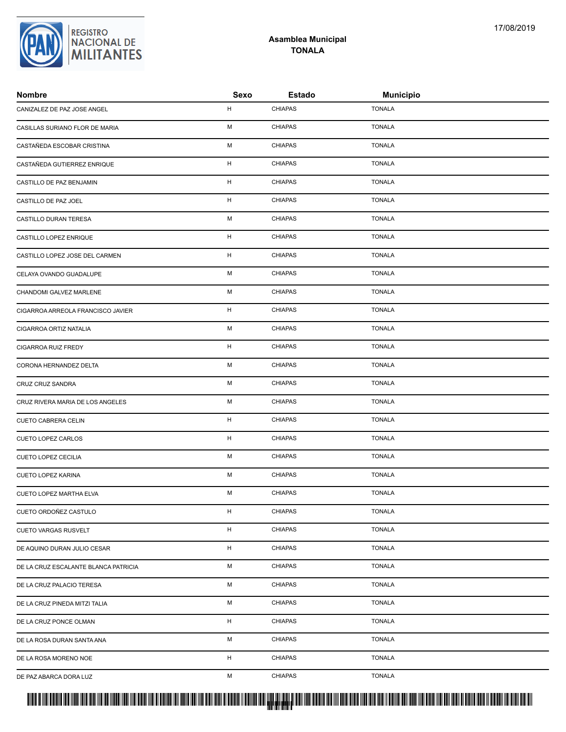| <b>Nombre</b>                        | Sexo | <b>Estado</b>  | <b>Municipio</b> |  |
|--------------------------------------|------|----------------|------------------|--|
| CANIZALEZ DE PAZ JOSE ANGEL          | H    | <b>CHIAPAS</b> | <b>TONALA</b>    |  |
| CASILLAS SURIANO FLOR DE MARIA       | М    | CHIAPAS        | <b>TONALA</b>    |  |
| CASTAÑEDA ESCOBAR CRISTINA           | M    | <b>CHIAPAS</b> | <b>TONALA</b>    |  |
| CASTAÑEDA GUTIERREZ ENRIQUE          | н    | <b>CHIAPAS</b> | <b>TONALA</b>    |  |
| CASTILLO DE PAZ BENJAMIN             | H    | <b>CHIAPAS</b> | <b>TONALA</b>    |  |
| CASTILLO DE PAZ JOEL                 | H    | <b>CHIAPAS</b> | <b>TONALA</b>    |  |
| CASTILLO DURAN TERESA                | М    | <b>CHIAPAS</b> | <b>TONALA</b>    |  |
| CASTILLO LOPEZ ENRIQUE               | H    | <b>CHIAPAS</b> | <b>TONALA</b>    |  |
| CASTILLO LOPEZ JOSE DEL CARMEN       | н    | <b>CHIAPAS</b> | <b>TONALA</b>    |  |
| CELAYA OVANDO GUADALUPE              | М    | <b>CHIAPAS</b> | <b>TONALA</b>    |  |
| CHANDOMI GALVEZ MARLENE              | М    | <b>CHIAPAS</b> | <b>TONALA</b>    |  |
| CIGARROA ARREOLA FRANCISCO JAVIER    | н    | <b>CHIAPAS</b> | <b>TONALA</b>    |  |
| CIGARROA ORTIZ NATALIA               | М    | <b>CHIAPAS</b> | <b>TONALA</b>    |  |
| CIGARROA RUIZ FREDY                  | H    | <b>CHIAPAS</b> | <b>TONALA</b>    |  |
| CORONA HERNANDEZ DELTA               | М    | <b>CHIAPAS</b> | <b>TONALA</b>    |  |
| CRUZ CRUZ SANDRA                     | М    | <b>CHIAPAS</b> | <b>TONALA</b>    |  |
| CRUZ RIVERA MARIA DE LOS ANGELES     | M    | <b>CHIAPAS</b> | <b>TONALA</b>    |  |
| CUETO CABRERA CELIN                  | H    | <b>CHIAPAS</b> | <b>TONALA</b>    |  |
| CUETO LOPEZ CARLOS                   | н    | <b>CHIAPAS</b> | <b>TONALA</b>    |  |
| <b>CUETO LOPEZ CECILIA</b>           | М    | <b>CHIAPAS</b> | <b>TONALA</b>    |  |
| CUETO LOPEZ KARINA                   | М    | <b>CHIAPAS</b> | <b>TONALA</b>    |  |
| CUETO LOPEZ MARTHA ELVA              | М    | <b>CHIAPAS</b> | <b>TONALA</b>    |  |
| CUETO ORDOÑEZ CASTULO                | H    | CHIAPAS        | <b>TONALA</b>    |  |
| CUETO VARGAS RUSVELT                 | Н.   | <b>CHIAPAS</b> | <b>TONALA</b>    |  |
| DE AQUINO DURAN JULIO CESAR          | н    | <b>CHIAPAS</b> | <b>TONALA</b>    |  |
| DE LA CRUZ ESCALANTE BLANCA PATRICIA | М    | <b>CHIAPAS</b> | <b>TONALA</b>    |  |
| DE LA CRUZ PALACIO TERESA            | М    | <b>CHIAPAS</b> | <b>TONALA</b>    |  |
| DE LA CRUZ PINEDA MITZI TALIA        | М    | <b>CHIAPAS</b> | <b>TONALA</b>    |  |
| DE LA CRUZ PONCE OLMAN               | Н.   | <b>CHIAPAS</b> | <b>TONALA</b>    |  |
| DE LA ROSA DURAN SANTA ANA           | М    | <b>CHIAPAS</b> | <b>TONALA</b>    |  |
| DE LA ROSA MORENO NOE                | Н.   | <b>CHIAPAS</b> | <b>TONALA</b>    |  |
| DE PAZ ABARCA DORA LUZ               | М    | <b>CHIAPAS</b> | <b>TONALA</b>    |  |
|                                      |      |                |                  |  |



#### **Asamblea Municipal TONALA**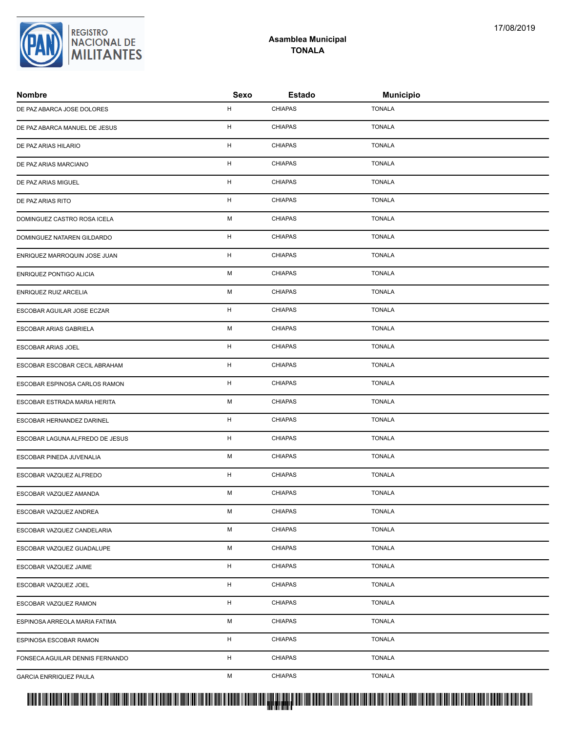| DE PAZ ABARCA JOSE DOLORES      | н | <b>CHIAPAS</b> | TONALA        |
|---------------------------------|---|----------------|---------------|
| DE PAZ ABARCA MANUEL DE JESUS   | H | <b>CHIAPAS</b> | <b>TONALA</b> |
| DE PAZ ARIAS HILARIO            | н | <b>CHIAPAS</b> | <b>TONALA</b> |
| DE PAZ ARIAS MARCIANO           | H | <b>CHIAPAS</b> | <b>TONALA</b> |
| DE PAZ ARIAS MIGUEL             | H | <b>CHIAPAS</b> | <b>TONALA</b> |
| DE PAZ ARIAS RITO               | H | <b>CHIAPAS</b> | <b>TONALA</b> |
| DOMINGUEZ CASTRO ROSA ICELA     | М | <b>CHIAPAS</b> | <b>TONALA</b> |
| DOMINGUEZ NATAREN GILDARDO      | H | <b>CHIAPAS</b> | <b>TONALA</b> |
| ENRIQUEZ MARROQUIN JOSE JUAN    | н | <b>CHIAPAS</b> | <b>TONALA</b> |
| ENRIQUEZ PONTIGO ALICIA         | М | <b>CHIAPAS</b> | <b>TONALA</b> |
| ENRIQUEZ RUIZ ARCELIA           | М | <b>CHIAPAS</b> | <b>TONALA</b> |
| ESCOBAR AGUILAR JOSE ECZAR      | н | <b>CHIAPAS</b> | <b>TONALA</b> |
| ESCOBAR ARIAS GABRIELA          | М | <b>CHIAPAS</b> | <b>TONALA</b> |
| ESCOBAR ARIAS JOEL              | H | <b>CHIAPAS</b> | <b>TONALA</b> |
| ESCOBAR ESCOBAR CECIL ABRAHAM   | H | <b>CHIAPAS</b> | <b>TONALA</b> |
| ESCOBAR ESPINOSA CARLOS RAMON   | H | <b>CHIAPAS</b> | <b>TONALA</b> |
| ESCOBAR ESTRADA MARIA HERITA    | М | <b>CHIAPAS</b> | <b>TONALA</b> |
| ESCOBAR HERNANDEZ DARINEL       | н | CHIAPAS        | <b>TONALA</b> |
| ESCOBAR LAGUNA ALFREDO DE JESUS | н | <b>CHIAPAS</b> | <b>TONALA</b> |
| ESCOBAR PINEDA JUVENALIA        | М | <b>CHIAPAS</b> | <b>TONALA</b> |
| ESCOBAR VAZQUEZ ALFREDO         | H | <b>CHIAPAS</b> | <b>TONALA</b> |
| ESCOBAR VAZQUEZ AMANDA          | М | <b>CHIAPAS</b> | <b>TONALA</b> |
| ESCOBAR VAZQUEZ ANDREA          | М | <b>CHIAPAS</b> | <b>TONALA</b> |
| ESCOBAR VAZQUEZ CANDELARIA      | М | <b>CHIAPAS</b> | <b>TONALA</b> |
| ESCOBAR VAZQUEZ GUADALUPE       | М | <b>CHIAPAS</b> | <b>TONALA</b> |
| ESCOBAR VAZQUEZ JAIME           | H | CHIAPAS        | <b>TONALA</b> |
| ESCOBAR VAZQUEZ JOEL            | н | <b>CHIAPAS</b> | <b>TONALA</b> |
| ESCOBAR VAZQUEZ RAMON           | н | CHIAPAS        | <b>TONALA</b> |
| ESPINOSA ARREOLA MARIA FATIMA   | М | <b>CHIAPAS</b> | <b>TONALA</b> |
| ESPINOSA ESCOBAR RAMON          | н | <b>CHIAPAS</b> | <b>TONALA</b> |
| FONSECA AGUILAR DENNIS FERNANDO | H | CHIAPAS        | <b>TONALA</b> |
| GARCIA ENRRIQUEZ PAULA          | М | <b>CHIAPAS</b> | <b>TONALA</b> |
|                                 |   |                |               |



### **Asamblea Municipal TONALA**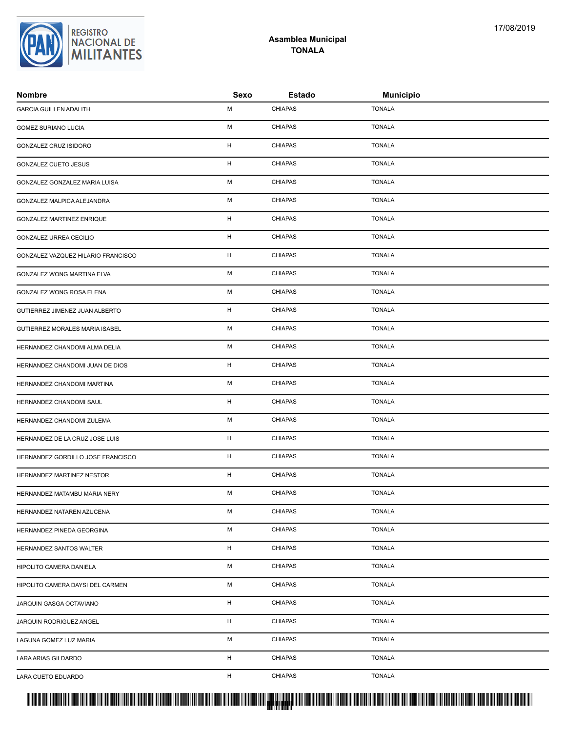| GARCIA GUILLEN ADALITH             | М | <b>CHIAPAS</b> | <b>TONALA</b> |
|------------------------------------|---|----------------|---------------|
| <b>GOMEZ SURIANO LUCIA</b>         | м | <b>CHIAPAS</b> | <b>TONALA</b> |
| GONZALEZ CRUZ ISIDORO              | H | <b>CHIAPAS</b> | <b>TONALA</b> |
| GONZALEZ CUETO JESUS               | н | <b>CHIAPAS</b> | <b>TONALA</b> |
| GONZALEZ GONZALEZ MARIA LUISA      | М | <b>CHIAPAS</b> | <b>TONALA</b> |
| GONZALEZ MALPICA ALEJANDRA         | М | <b>CHIAPAS</b> | <b>TONALA</b> |
| GONZALEZ MARTINEZ ENRIQUE          | н | <b>CHIAPAS</b> | <b>TONALA</b> |
| GONZALEZ URREA CECILIO             | H | <b>CHIAPAS</b> | <b>TONALA</b> |
| GONZALEZ VAZQUEZ HILARIO FRANCISCO | H | <b>CHIAPAS</b> | <b>TONALA</b> |
| GONZALEZ WONG MARTINA ELVA         | М | <b>CHIAPAS</b> | <b>TONALA</b> |
| GONZALEZ WONG ROSA ELENA           | М | <b>CHIAPAS</b> | <b>TONALA</b> |
| GUTIERREZ JIMENEZ JUAN ALBERTO     | H | <b>CHIAPAS</b> | <b>TONALA</b> |
| GUTIERREZ MORALES MARIA ISABEL     | М | <b>CHIAPAS</b> | <b>TONALA</b> |
| HERNANDEZ CHANDOMI ALMA DELIA      | М | <b>CHIAPAS</b> | <b>TONALA</b> |
| HERNANDEZ CHANDOMI JUAN DE DIOS    | H | <b>CHIAPAS</b> | <b>TONALA</b> |
| HERNANDEZ CHANDOMI MARTINA         | М | <b>CHIAPAS</b> | <b>TONALA</b> |
| HERNANDEZ CHANDOMI SAUL            | H | <b>CHIAPAS</b> | <b>TONALA</b> |
| HERNANDEZ CHANDOMI ZULEMA          | М | <b>CHIAPAS</b> | <b>TONALA</b> |
| HERNANDEZ DE LA CRUZ JOSE LUIS     | н | <b>CHIAPAS</b> | <b>TONALA</b> |
| HERNANDEZ GORDILLO JOSE FRANCISCO  | H | <b>CHIAPAS</b> | <b>TONALA</b> |
| HERNANDEZ MARTINEZ NESTOR          | H | <b>CHIAPAS</b> | <b>TONALA</b> |
| HERNANDEZ MATAMBU MARIA NERY       | М | <b>CHIAPAS</b> | <b>TONALA</b> |
| HERNANDEZ NATAREN AZUCENA          | м | <b>CHIAPAS</b> | <b>TONALA</b> |
| HERNANDEZ PINEDA GEORGINA          | М | CHIAPAS        | <b>TONALA</b> |
| HERNANDEZ SANTOS WALTER            | н | <b>CHIAPAS</b> | <b>TONALA</b> |
| HIPOLITO CAMERA DANIELA            | М | <b>CHIAPAS</b> | <b>TONALA</b> |
| HIPOLITO CAMERA DAYSI DEL CARMEN   | М | CHIAPAS        | <b>TONALA</b> |
| JARQUIN GASGA OCTAVIANO            | н | <b>CHIAPAS</b> | <b>TONALA</b> |
| JARQUIN RODRIGUEZ ANGEL            | H | <b>CHIAPAS</b> | <b>TONALA</b> |
| LAGUNA GOMEZ LUZ MARIA             | М | <b>CHIAPAS</b> | <b>TONALA</b> |
| LARA ARIAS GILDARDO                | н | <b>CHIAPAS</b> | <b>TONALA</b> |
| LARA CUETO EDUARDO                 | H | <b>CHIAPAS</b> | <b>TONALA</b> |
|                                    |   |                |               |



#### **Asamblea Municipal TONALA**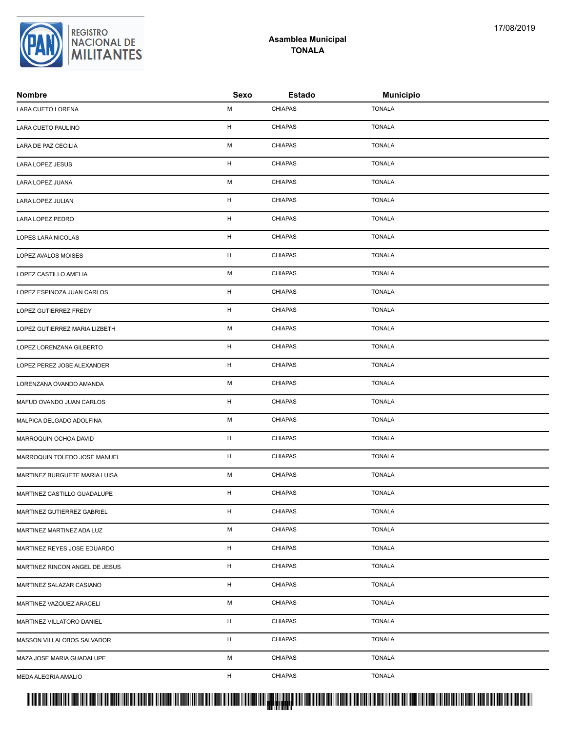| LARA CUETO LORENA              | М           | <b>CHIAPAS</b> | <b>TONALA</b> |
|--------------------------------|-------------|----------------|---------------|
| LARA CUETO PAULINO             | $\mathsf H$ | <b>CHIAPAS</b> | <b>TONALA</b> |
| LARA DE PAZ CECILIA            | М           | <b>CHIAPAS</b> | <b>TONALA</b> |
| LARA LOPEZ JESUS               | H           | <b>CHIAPAS</b> | <b>TONALA</b> |
| LARA LOPEZ JUANA               | М           | <b>CHIAPAS</b> | <b>TONALA</b> |
| LARA LOPEZ JULIAN              | н           | <b>CHIAPAS</b> | <b>TONALA</b> |
| LARA LOPEZ PEDRO               | н           | CHIAPAS        | <b>TONALA</b> |
| LOPES LARA NICOLAS             | н           | <b>CHIAPAS</b> | <b>TONALA</b> |
| LOPEZ AVALOS MOISES            | H           | <b>CHIAPAS</b> | <b>TONALA</b> |
| LOPEZ CASTILLO AMELIA          | М           | <b>CHIAPAS</b> | <b>TONALA</b> |
| LOPEZ ESPINOZA JUAN CARLOS     | н           | <b>CHIAPAS</b> | <b>TONALA</b> |
| LOPEZ GUTIERREZ FREDY          | $\mathsf H$ | <b>CHIAPAS</b> | <b>TONALA</b> |
| LOPEZ GUTIERREZ MARIA LIZBETH  | М           | <b>CHIAPAS</b> | <b>TONALA</b> |
| LOPEZ LORENZANA GILBERTO       | н           | <b>CHIAPAS</b> | <b>TONALA</b> |
| LOPEZ PEREZ JOSE ALEXANDER     | н           | <b>CHIAPAS</b> | <b>TONALA</b> |
| LORENZANA OVANDO AMANDA        | М           | CHIAPAS        | <b>TONALA</b> |
| MAFUD OVANDO JUAN CARLOS       | Н           | <b>CHIAPAS</b> | <b>TONALA</b> |
| MALPICA DELGADO ADOLFINA       | М           | <b>CHIAPAS</b> | <b>TONALA</b> |
| MARROQUIN OCHOA DAVID          | H           | <b>CHIAPAS</b> | <b>TONALA</b> |
| MARROQUIN TOLEDO JOSE MANUEL   | н           | <b>CHIAPAS</b> | <b>TONALA</b> |
| MARTINEZ BURGUETE MARIA LUISA  | М           | <b>CHIAPAS</b> | <b>TONALA</b> |
| MARTINEZ CASTILLO GUADALUPE    | H           | CHIAPAS        | <b>TONALA</b> |
| MARTINEZ GUTIERREZ GABRIEL     | н           | <b>CHIAPAS</b> | <b>TONALA</b> |
| MARTINEZ MARTINEZ ADA LUZ      | м           | <b>CHIAPAS</b> | <b>TONALA</b> |
| MARTINEZ REYES JOSE EDUARDO    | H           | <b>CHIAPAS</b> | <b>TONALA</b> |
| MARTINEZ RINCON ANGEL DE JESUS | н           | <b>CHIAPAS</b> | <b>TONALA</b> |
| MARTINEZ SALAZAR CASIANO       | H           | <b>CHIAPAS</b> | <b>TONALA</b> |
| MARTINEZ VAZQUEZ ARACELI       | М           | <b>CHIAPAS</b> | <b>TONALA</b> |
| MARTINEZ VILLATORO DANIEL      | H           | <b>CHIAPAS</b> | <b>TONALA</b> |
| MASSON VILLALOBOS SALVADOR     | H           | <b>CHIAPAS</b> | <b>TONALA</b> |
| MAZA JOSE MARIA GUADALUPE      | М           | <b>CHIAPAS</b> | <b>TONALA</b> |
| MEDA ALEGRIA AMALIO            | H           | <b>CHIAPAS</b> | TONALA        |
|                                |             |                |               |



#### **Asamblea Municipal TONALA**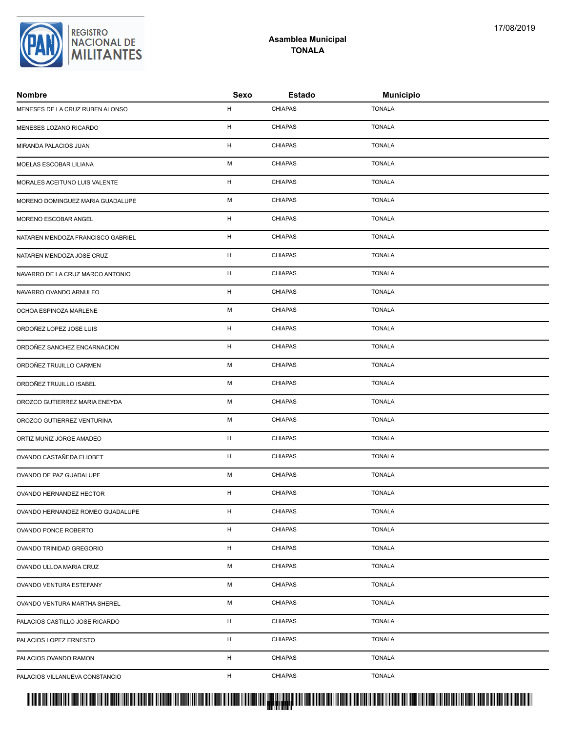| Nombre                            | Sexo                      | <b>Estado</b>  | <b>Municipio</b> |
|-----------------------------------|---------------------------|----------------|------------------|
| MENESES DE LA CRUZ RUBEN ALONSO   | H                         | <b>CHIAPAS</b> | <b>TONALA</b>    |
| MENESES LOZANO RICARDO            | H                         | <b>CHIAPAS</b> | <b>TONALA</b>    |
| MIRANDA PALACIOS JUAN             | $\mathsf H$               | <b>CHIAPAS</b> | <b>TONALA</b>    |
| MOELAS ESCOBAR LILIANA            | ${\sf M}$                 | <b>CHIAPAS</b> | <b>TONALA</b>    |
| MORALES ACEITUNO LUIS VALENTE     | н                         | <b>CHIAPAS</b> | <b>TONALA</b>    |
| MORENO DOMINGUEZ MARIA GUADALUPE  | M                         | <b>CHIAPAS</b> | <b>TONALA</b>    |
| MORENO ESCOBAR ANGEL              | H                         | <b>CHIAPAS</b> | <b>TONALA</b>    |
| NATAREN MENDOZA FRANCISCO GABRIEL | H                         | <b>CHIAPAS</b> | <b>TONALA</b>    |
| NATAREN MENDOZA JOSE CRUZ         | $\mathsf H$               | <b>CHIAPAS</b> | <b>TONALA</b>    |
| NAVARRO DE LA CRUZ MARCO ANTONIO  | н                         | <b>CHIAPAS</b> | <b>TONALA</b>    |
| NAVARRO OVANDO ARNULFO            | н                         | <b>CHIAPAS</b> | <b>TONALA</b>    |
| OCHOA ESPINOZA MARLENE            | M                         | <b>CHIAPAS</b> | <b>TONALA</b>    |
| ORDOÑEZ LOPEZ JOSE LUIS           | $\boldsymbol{\mathsf{H}}$ | <b>CHIAPAS</b> | <b>TONALA</b>    |
| ORDOÑEZ SANCHEZ ENCARNACION       | H                         | <b>CHIAPAS</b> | <b>TONALA</b>    |
| ORDOÑEZ TRUJILLO CARMEN           | M                         | <b>CHIAPAS</b> | <b>TONALA</b>    |
| ORDOÑEZ TRUJILLO ISABEL           | M                         | <b>CHIAPAS</b> | <b>TONALA</b>    |
| OROZCO GUTIERREZ MARIA ENEYDA     | М                         | <b>CHIAPAS</b> | <b>TONALA</b>    |
| OROZCO GUTIERREZ VENTURINA        | M                         | <b>CHIAPAS</b> | <b>TONALA</b>    |
| ORTIZ MUÑIZ JORGE AMADEO          | H                         | <b>CHIAPAS</b> | <b>TONALA</b>    |
| OVANDO CASTAÑEDA ELIOBET          | н                         | <b>CHIAPAS</b> | <b>TONALA</b>    |
| OVANDO DE PAZ GUADALUPE           | M                         | <b>CHIAPAS</b> | <b>TONALA</b>    |
| OVANDO HERNANDEZ HECTOR           | н                         | <b>CHIAPAS</b> | <b>TONALA</b>    |
| OVANDO HERNANDEZ ROMEO GUADALUPE  | н                         | CHIAPAS        | <b>TONALA</b>    |
| OVANDO PONCE ROBERTO              | H                         | <b>CHIAPAS</b> | <b>TONALA</b>    |
| OVANDO TRINIDAD GREGORIO          | Н                         | <b>CHIAPAS</b> | <b>TONALA</b>    |
| OVANDO ULLOA MARIA CRUZ           | М                         | <b>CHIAPAS</b> | <b>TONALA</b>    |
| OVANDO VENTURA ESTEFANY           | м                         | <b>CHIAPAS</b> | <b>TONALA</b>    |
| OVANDO VENTURA MARTHA SHEREL      | М                         | <b>CHIAPAS</b> | <b>TONALA</b>    |
| PALACIOS CASTILLO JOSE RICARDO    | н                         | <b>CHIAPAS</b> | TONALA           |
| PALACIOS LOPEZ ERNESTO            | н                         | <b>CHIAPAS</b> | TONALA           |
| PALACIOS OVANDO RAMON             | н                         | <b>CHIAPAS</b> | <b>TONALA</b>    |
| PALACIOS VILLANUEVA CONSTANCIO    | H                         | <b>CHIAPAS</b> | <b>TONALA</b>    |
|                                   |                           |                |                  |



### **Asamblea Municipal TONALA**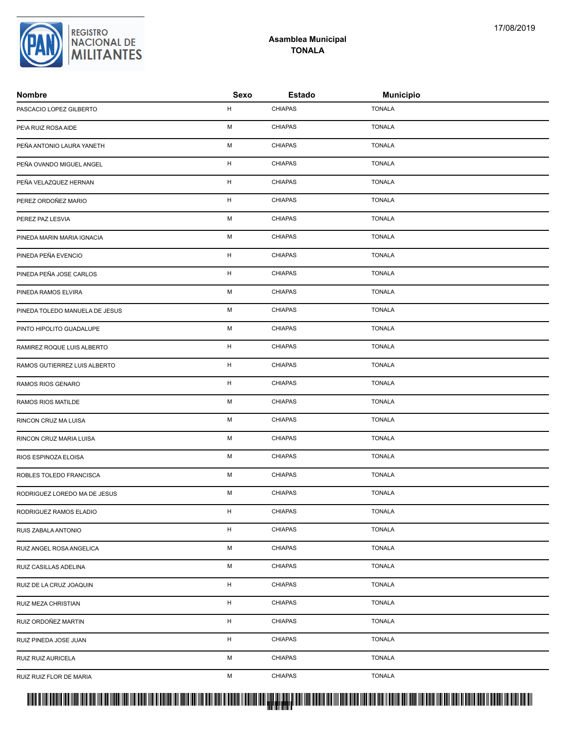| PASCACIO LOPEZ GILBERTO        | н | <b>CHIAPAS</b> | <b>TONALA</b> |
|--------------------------------|---|----------------|---------------|
| PE\A RUIZ ROSA AIDE            | М | <b>CHIAPAS</b> | <b>TONALA</b> |
| PEÑA ANTONIO LAURA YANETH      | М | <b>CHIAPAS</b> | <b>TONALA</b> |
| PEÑA OVANDO MIGUEL ANGEL       | н | <b>CHIAPAS</b> | <b>TONALA</b> |
| PEÑA VELAZQUEZ HERNAN          | н | <b>CHIAPAS</b> | <b>TONALA</b> |
| PEREZ ORDOÑEZ MARIO            | н | <b>CHIAPAS</b> | <b>TONALA</b> |
| PEREZ PAZ LESVIA               | М | <b>CHIAPAS</b> | <b>TONALA</b> |
| PINEDA MARIN MARIA IGNACIA     | М | <b>CHIAPAS</b> | <b>TONALA</b> |
| PINEDA PEÑA EVENCIO            | н | <b>CHIAPAS</b> | <b>TONALA</b> |
| PINEDA PEÑA JOSE CARLOS        | н | <b>CHIAPAS</b> | <b>TONALA</b> |
| PINEDA RAMOS ELVIRA            | М | <b>CHIAPAS</b> | <b>TONALA</b> |
| PINEDA TOLEDO MANUELA DE JESUS | М | <b>CHIAPAS</b> | <b>TONALA</b> |
| PINTO HIPOLITO GUADALUPE       | М | <b>CHIAPAS</b> | <b>TONALA</b> |
| RAMIREZ ROQUE LUIS ALBERTO     | н | <b>CHIAPAS</b> | <b>TONALA</b> |
| RAMOS GUTIERREZ LUIS ALBERTO   | н | <b>CHIAPAS</b> | <b>TONALA</b> |
| RAMOS RIOS GENARO              | н | <b>CHIAPAS</b> | <b>TONALA</b> |
| RAMOS RIOS MATILDE             | М | <b>CHIAPAS</b> | <b>TONALA</b> |
| RINCON CRUZ MA LUISA           | М | <b>CHIAPAS</b> | <b>TONALA</b> |
| RINCON CRUZ MARIA LUISA        | М | <b>CHIAPAS</b> | <b>TONALA</b> |
| RIOS ESPINOZA ELOISA           | М | <b>CHIAPAS</b> | <b>TONALA</b> |
| ROBLES TOLEDO FRANCISCA        | М | <b>CHIAPAS</b> | <b>TONALA</b> |
| RODRIGUEZ LOREDO MA DE JESUS   | М | <b>CHIAPAS</b> | <b>TONALA</b> |
| RODRIGUEZ RAMOS ELADIO         | H | <b>CHIAPAS</b> | <b>TONALA</b> |
| RUIS ZABALA ANTONIO            | н | <b>CHIAPAS</b> | <b>TONALA</b> |
| RUIZ ANGEL ROSA ANGELICA       | М | <b>CHIAPAS</b> | <b>TONALA</b> |
| RUIZ CASILLAS ADELINA          | М | CHIAPAS        | <b>TONALA</b> |
| RUIZ DE LA CRUZ JOAQUIN        | н | <b>CHIAPAS</b> | <b>TONALA</b> |
| RUIZ MEZA CHRISTIAN            | н | <b>CHIAPAS</b> | <b>TONALA</b> |
| RUIZ ORDOÑEZ MARTIN            | н | <b>CHIAPAS</b> | <b>TONALA</b> |
| RUIZ PINEDA JOSE JUAN          | н | <b>CHIAPAS</b> | <b>TONALA</b> |
| RUIZ RUIZ AURICELA             | М | <b>CHIAPAS</b> | <b>TONALA</b> |
| RUIZ RUIZ FLOR DE MARIA        | М | <b>CHIAPAS</b> | <b>TONALA</b> |
|                                |   |                |               |

17/08/2019



### **Asamblea Municipal TONALA**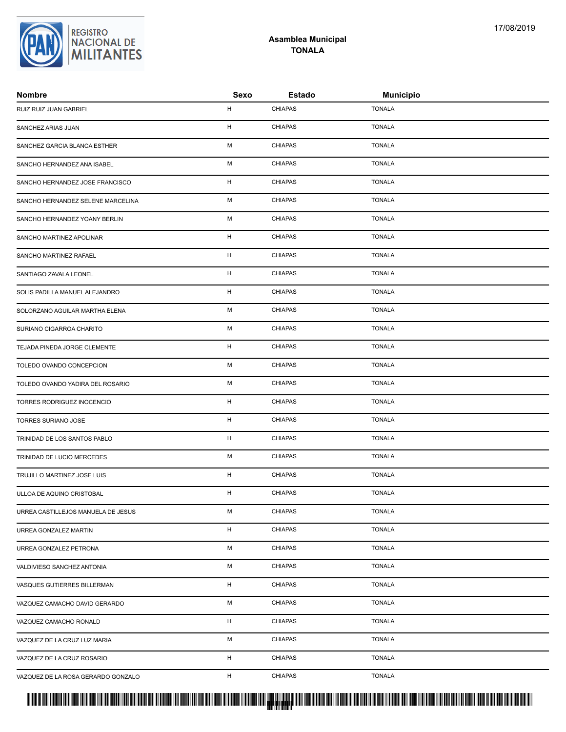| RUIZ RUIZ JUAN GABRIEL             | н | <b>CHIAPAS</b> | <b>TONALA</b> |
|------------------------------------|---|----------------|---------------|
| SANCHEZ ARIAS JUAN                 | H | <b>CHIAPAS</b> | <b>TONALA</b> |
| SANCHEZ GARCIA BLANCA ESTHER       | М | <b>CHIAPAS</b> | <b>TONALA</b> |
| SANCHO HERNANDEZ ANA ISABEL        | М | <b>CHIAPAS</b> | <b>TONALA</b> |
| SANCHO HERNANDEZ JOSE FRANCISCO    | H | <b>CHIAPAS</b> | <b>TONALA</b> |
| SANCHO HERNANDEZ SELENE MARCELINA  | М | <b>CHIAPAS</b> | <b>TONALA</b> |
| SANCHO HERNANDEZ YOANY BERLIN      | М | <b>CHIAPAS</b> | <b>TONALA</b> |
| SANCHO MARTINEZ APOLINAR           | H | <b>CHIAPAS</b> | <b>TONALA</b> |
| SANCHO MARTINEZ RAFAEL             | H | <b>CHIAPAS</b> | <b>TONALA</b> |
| SANTIAGO ZAVALA LEONEL             | H | <b>CHIAPAS</b> | <b>TONALA</b> |
| SOLIS PADILLA MANUEL ALEJANDRO     | H | <b>CHIAPAS</b> | <b>TONALA</b> |
| SOLORZANO AGUILAR MARTHA ELENA     | М | <b>CHIAPAS</b> | <b>TONALA</b> |
| SURIANO CIGARROA CHARITO           | М | <b>CHIAPAS</b> | <b>TONALA</b> |
| TEJADA PINEDA JORGE CLEMENTE       | H | <b>CHIAPAS</b> | <b>TONALA</b> |
| TOLEDO OVANDO CONCEPCION           | М | <b>CHIAPAS</b> | <b>TONALA</b> |
| TOLEDO OVANDO YADIRA DEL ROSARIO   | М | <b>CHIAPAS</b> | <b>TONALA</b> |
| TORRES RODRIGUEZ INOCENCIO         | H | <b>CHIAPAS</b> | <b>TONALA</b> |
| TORRES SURIANO JOSE                | H | <b>CHIAPAS</b> | <b>TONALA</b> |
| TRINIDAD DE LOS SANTOS PABLO       | н | <b>CHIAPAS</b> | <b>TONALA</b> |
| TRINIDAD DE LUCIO MERCEDES         | М | <b>CHIAPAS</b> | <b>TONALA</b> |
| TRUJILLO MARTINEZ JOSE LUIS        | H | <b>CHIAPAS</b> | <b>TONALA</b> |
| ULLOA DE AQUINO CRISTOBAL          | H | <b>CHIAPAS</b> | <b>TONALA</b> |
| URREA CASTILLEJOS MANUELA DE JESUS | м | <b>CHIAPAS</b> | <b>TONALA</b> |
| URREA GONZALEZ MARTIN              | н | <b>CHIAPAS</b> | <b>TONALA</b> |
| URREA GONZALEZ PETRONA             | М | <b>CHIAPAS</b> | <b>TONALA</b> |
| VALDIVIESO SANCHEZ ANTONIA         | М | <b>CHIAPAS</b> | <b>TONALA</b> |
| VASQUES GUTIERRES BILLERMAN        | H | <b>CHIAPAS</b> | <b>TONALA</b> |
| VAZQUEZ CAMACHO DAVID GERARDO      | М | <b>CHIAPAS</b> | <b>TONALA</b> |
| VAZQUEZ CAMACHO RONALD             | н | <b>CHIAPAS</b> | <b>TONALA</b> |
| VAZQUEZ DE LA CRUZ LUZ MARIA       | М | <b>CHIAPAS</b> | <b>TONALA</b> |
| VAZQUEZ DE LA CRUZ ROSARIO         | H | <b>CHIAPAS</b> | <b>TONALA</b> |
| VAZQUEZ DE LA ROSA GERARDO GONZALO | н | <b>CHIAPAS</b> | <b>TONALA</b> |
|                                    |   |                |               |



### **Asamblea Municipal TONALA**